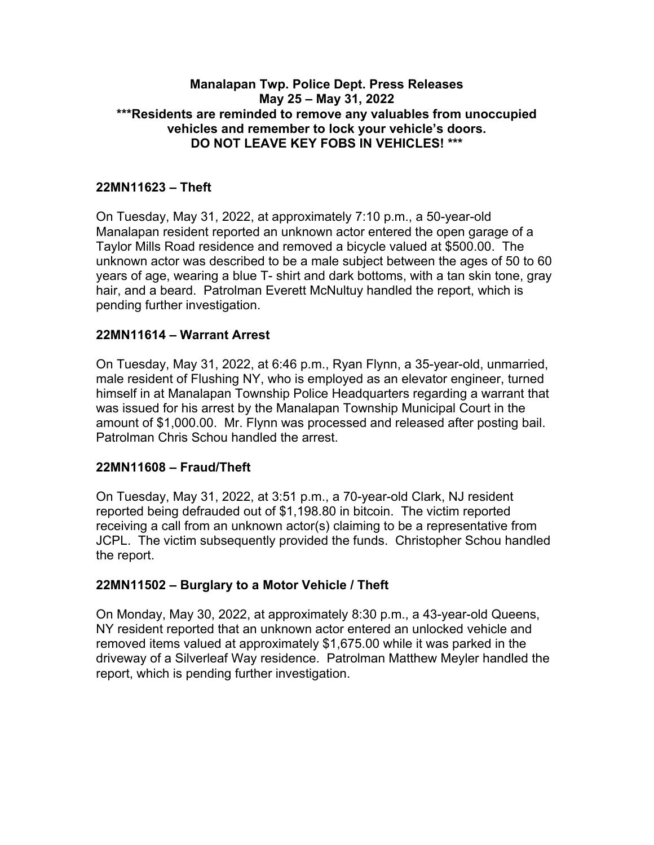### **Manalapan Twp. Police Dept. Press Releases May 25 – May 31, 2022 \*\*\*Residents are reminded to remove any valuables from unoccupied vehicles and remember to lock your vehicle's doors. DO NOT LEAVE KEY FOBS IN VEHICLES! \*\*\***

### **22MN11623 – Theft**

On Tuesday, May 31, 2022, at approximately 7:10 p.m., a 50-year-old Manalapan resident reported an unknown actor entered the open garage of a Taylor Mills Road residence and removed a bicycle valued at \$500.00. The unknown actor was described to be a male subject between the ages of 50 to 60 years of age, wearing a blue T- shirt and dark bottoms, with a tan skin tone, gray hair, and a beard. Patrolman Everett McNultuy handled the report, which is pending further investigation.

### **22MN11614 – Warrant Arrest**

On Tuesday, May 31, 2022, at 6:46 p.m., Ryan Flynn, a 35-year-old, unmarried, male resident of Flushing NY, who is employed as an elevator engineer, turned himself in at Manalapan Township Police Headquarters regarding a warrant that was issued for his arrest by the Manalapan Township Municipal Court in the amount of \$1,000.00. Mr. Flynn was processed and released after posting bail. Patrolman Chris Schou handled the arrest.

#### **22MN11608 – Fraud/Theft**

On Tuesday, May 31, 2022, at 3:51 p.m., a 70-year-old Clark, NJ resident reported being defrauded out of \$1,198.80 in bitcoin. The victim reported receiving a call from an unknown actor(s) claiming to be a representative from JCPL. The victim subsequently provided the funds. Christopher Schou handled the report.

### **22MN11502 – Burglary to a Motor Vehicle / Theft**

On Monday, May 30, 2022, at approximately 8:30 p.m., a 43-year-old Queens, NY resident reported that an unknown actor entered an unlocked vehicle and removed items valued at approximately \$1,675.00 while it was parked in the driveway of a Silverleaf Way residence. Patrolman Matthew Meyler handled the report, which is pending further investigation.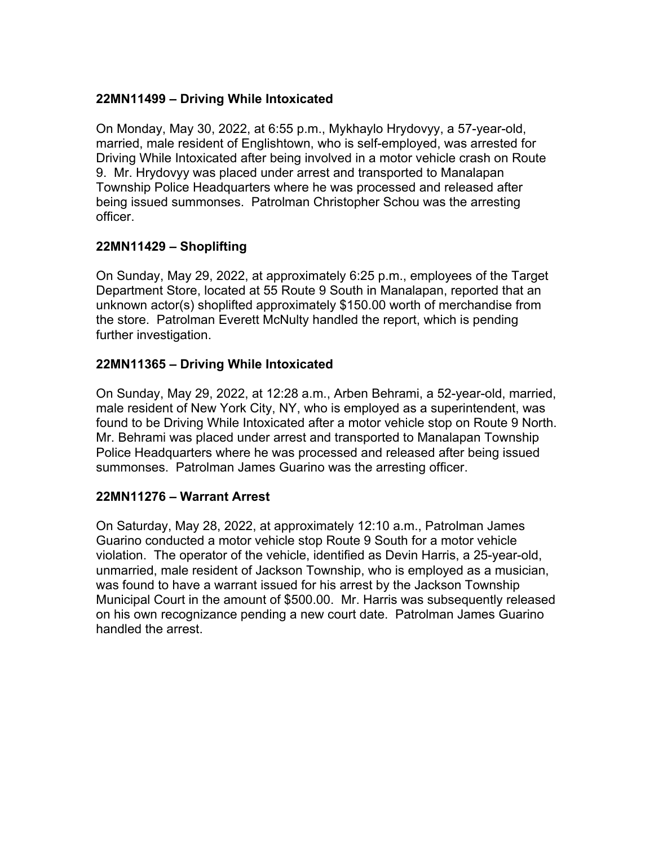### **22MN11499 – Driving While Intoxicated**

On Monday, May 30, 2022, at 6:55 p.m., Mykhaylo Hrydovyy, a 57-year-old, married, male resident of Englishtown, who is self-employed, was arrested for Driving While Intoxicated after being involved in a motor vehicle crash on Route 9. Mr. Hrydovyy was placed under arrest and transported to Manalapan Township Police Headquarters where he was processed and released after being issued summonses. Patrolman Christopher Schou was the arresting officer.

## **22MN11429 – Shoplifting**

On Sunday, May 29, 2022, at approximately 6:25 p.m., employees of the Target Department Store, located at 55 Route 9 South in Manalapan, reported that an unknown actor(s) shoplifted approximately \$150.00 worth of merchandise from the store. Patrolman Everett McNulty handled the report, which is pending further investigation.

## **22MN11365 – Driving While Intoxicated**

On Sunday, May 29, 2022, at 12:28 a.m., Arben Behrami, a 52-year-old, married, male resident of New York City, NY, who is employed as a superintendent, was found to be Driving While Intoxicated after a motor vehicle stop on Route 9 North. Mr. Behrami was placed under arrest and transported to Manalapan Township Police Headquarters where he was processed and released after being issued summonses. Patrolman James Guarino was the arresting officer.

### **22MN11276 – Warrant Arrest**

On Saturday, May 28, 2022, at approximately 12:10 a.m., Patrolman James Guarino conducted a motor vehicle stop Route 9 South for a motor vehicle violation. The operator of the vehicle, identified as Devin Harris, a 25-year-old, unmarried, male resident of Jackson Township, who is employed as a musician, was found to have a warrant issued for his arrest by the Jackson Township Municipal Court in the amount of \$500.00. Mr. Harris was subsequently released on his own recognizance pending a new court date. Patrolman James Guarino handled the arrest.